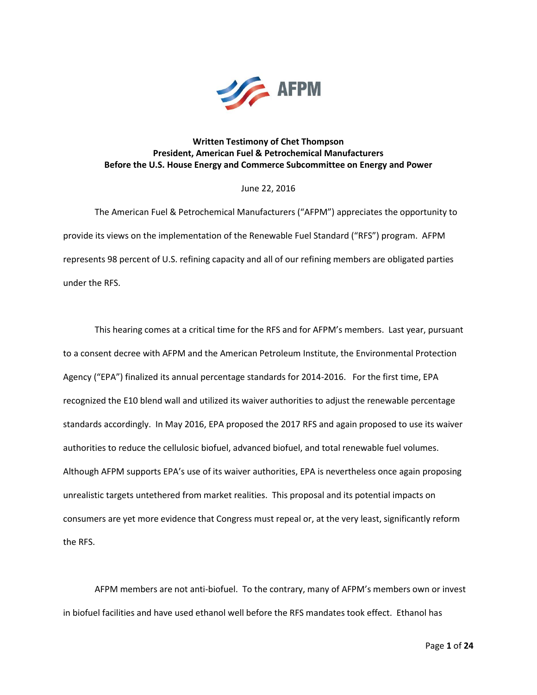

## **Written Testimony of Chet Thompson President, American Fuel & Petrochemical Manufacturers Before the U.S. House Energy and Commerce Subcommittee on Energy and Power**

### June 22, 2016

The American Fuel & Petrochemical Manufacturers ("AFPM") appreciates the opportunity to provide its views on the implementation of the Renewable Fuel Standard ("RFS") program. AFPM represents 98 percent of U.S. refining capacity and all of our refining members are obligated parties under the RFS.

This hearing comes at a critical time for the RFS and for AFPM's members. Last year, pursuant to a consent decree with AFPM and the American Petroleum Institute, the Environmental Protection Agency ("EPA") finalized its annual percentage standards for 2014-2016. For the first time, EPA recognized the E10 blend wall and utilized its waiver authorities to adjust the renewable percentage standards accordingly. In May 2016, EPA proposed the 2017 RFS and again proposed to use its waiver authorities to reduce the cellulosic biofuel, advanced biofuel, and total renewable fuel volumes. Although AFPM supports EPA's use of its waiver authorities, EPA is nevertheless once again proposing unrealistic targets untethered from market realities. This proposal and its potential impacts on consumers are yet more evidence that Congress must repeal or, at the very least, significantly reform the RFS.

AFPM members are not anti-biofuel. To the contrary, many of AFPM's members own or invest in biofuel facilities and have used ethanol well before the RFS mandates took effect. Ethanol has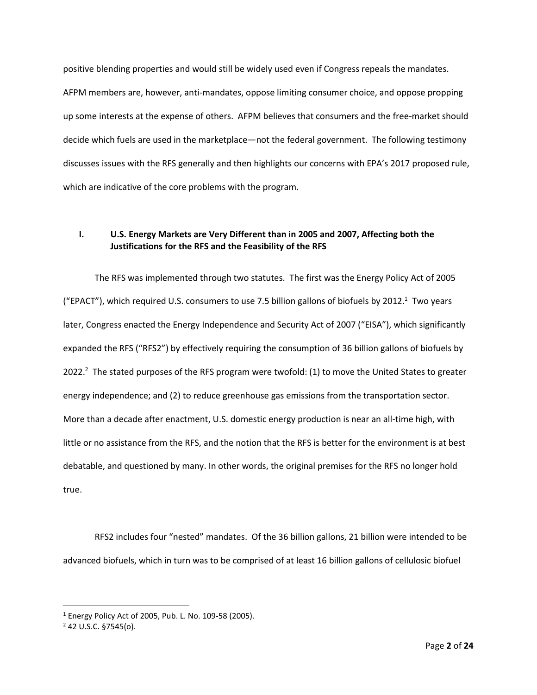positive blending properties and would still be widely used even if Congress repeals the mandates. AFPM members are, however, anti-mandates, oppose limiting consumer choice, and oppose propping up some interests at the expense of others. AFPM believes that consumers and the free-market should decide which fuels are used in the marketplace—not the federal government. The following testimony discusses issues with the RFS generally and then highlights our concerns with EPA's 2017 proposed rule, which are indicative of the core problems with the program.

# **I. U.S. Energy Markets are Very Different than in 2005 and 2007, Affecting both the Justifications for the RFS and the Feasibility of the RFS**

The RFS was implemented through two statutes. The first was the Energy Policy Act of 2005 ("EPACT"), which required U.S. consumers to use 7.5 billion gallons of biofuels by 2012.<sup>1</sup> Two years later, Congress enacted the Energy Independence and Security Act of 2007 ("EISA"), which significantly expanded the RFS ("RFS2") by effectively requiring the consumption of 36 billion gallons of biofuels by 2022.<sup>2</sup> The stated purposes of the RFS program were twofold: (1) to move the United States to greater energy independence; and (2) to reduce greenhouse gas emissions from the transportation sector. More than a decade after enactment, U.S. domestic energy production is near an all-time high, with little or no assistance from the RFS, and the notion that the RFS is better for the environment is at best debatable, and questioned by many. In other words, the original premises for the RFS no longer hold true.

RFS2 includes four "nested" mandates. Of the 36 billion gallons, 21 billion were intended to be advanced biofuels, which in turn was to be comprised of at least 16 billion gallons of cellulosic biofuel

 $1$  Energy Policy Act of 2005, Pub. L. No. 109-58 (2005).

 $2$  42 U.S.C. §7545(o).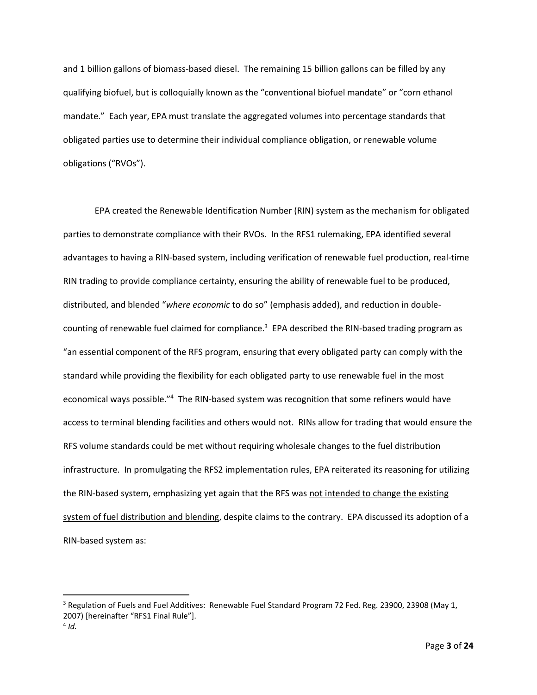and 1 billion gallons of biomass-based diesel. The remaining 15 billion gallons can be filled by any qualifying biofuel, but is colloquially known as the "conventional biofuel mandate" or "corn ethanol mandate." Each year, EPA must translate the aggregated volumes into percentage standards that obligated parties use to determine their individual compliance obligation, or renewable volume obligations ("RVOs").

EPA created the Renewable Identification Number (RIN) system as the mechanism for obligated parties to demonstrate compliance with their RVOs. In the RFS1 rulemaking, EPA identified several advantages to having a RIN-based system, including verification of renewable fuel production, real-time RIN trading to provide compliance certainty, ensuring the ability of renewable fuel to be produced, distributed, and blended "*where economic* to do so" (emphasis added), and reduction in doublecounting of renewable fuel claimed for compliance.<sup>3</sup> EPA described the RIN-based trading program as "an essential component of the RFS program, ensuring that every obligated party can comply with the standard while providing the flexibility for each obligated party to use renewable fuel in the most economical ways possible."<sup>4</sup> The RIN-based system was recognition that some refiners would have access to terminal blending facilities and others would not. RINs allow for trading that would ensure the RFS volume standards could be met without requiring wholesale changes to the fuel distribution infrastructure. In promulgating the RFS2 implementation rules, EPA reiterated its reasoning for utilizing the RIN-based system, emphasizing yet again that the RFS was not intended to change the existing system of fuel distribution and blending, despite claims to the contrary. EPA discussed its adoption of a RIN-based system as:

<sup>&</sup>lt;sup>3</sup> Regulation of Fuels and Fuel Additives: Renewable Fuel Standard Program 72 Fed. Reg. 23900, 23908 (May 1, 2007) [hereinafter "RFS1 Final Rule"].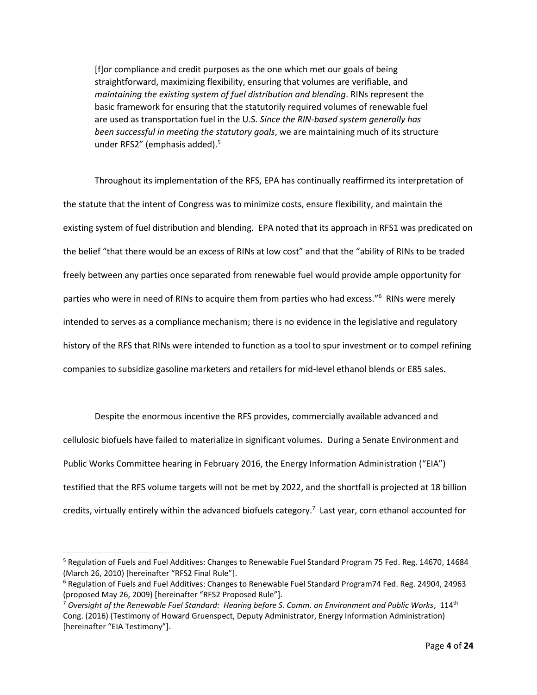[f]or compliance and credit purposes as the one which met our goals of being straightforward, maximizing flexibility, ensuring that volumes are verifiable, and *maintaining the existing system of fuel distribution and blending*. RINs represent the basic framework for ensuring that the statutorily required volumes of renewable fuel are used as transportation fuel in the U.S. *Since the RIN-based system generally has been successful in meeting the statutory goals*, we are maintaining much of its structure under RFS2" (emphasis added).<sup>5</sup>

Throughout its implementation of the RFS, EPA has continually reaffirmed its interpretation of the statute that the intent of Congress was to minimize costs, ensure flexibility, and maintain the existing system of fuel distribution and blending. EPA noted that its approach in RFS1 was predicated on the belief "that there would be an excess of RINs at low cost" and that the "ability of RINs to be traded freely between any parties once separated from renewable fuel would provide ample opportunity for parties who were in need of RINs to acquire them from parties who had excess."<sup>6</sup> RINs were merely intended to serves as a compliance mechanism; there is no evidence in the legislative and regulatory history of the RFS that RINs were intended to function as a tool to spur investment or to compel refining companies to subsidize gasoline marketers and retailers for mid-level ethanol blends or E85 sales.

Despite the enormous incentive the RFS provides, commercially available advanced and cellulosic biofuels have failed to materialize in significant volumes. During a Senate Environment and Public Works Committee hearing in February 2016, the Energy Information Administration ("EIA") testified that the RFS volume targets will not be met by 2022, and the shortfall is projected at 18 billion credits, virtually entirely within the advanced biofuels category.<sup>7</sup> Last year, corn ethanol accounted for

<sup>&</sup>lt;sup>5</sup> Regulation of Fuels and Fuel Additives: Changes to Renewable Fuel Standard Program 75 Fed. Reg. 14670, 14684 (March 26, 2010) [hereinafter "RFS2 Final Rule"].

<sup>6</sup> Regulation of Fuels and Fuel Additives: Changes to Renewable Fuel Standard Program74 Fed. Reg. 24904, 24963 (proposed May 26, 2009) [hereinafter "RFS2 Proposed Rule"].

<sup>7</sup> *Oversight of the Renewable Fuel Standard: Hearing before S. Comm. on Environment and Public Works*, 114th Cong. (2016) (Testimony of Howard Gruenspect, Deputy Administrator, Energy Information Administration) [hereinafter "EIA Testimony"].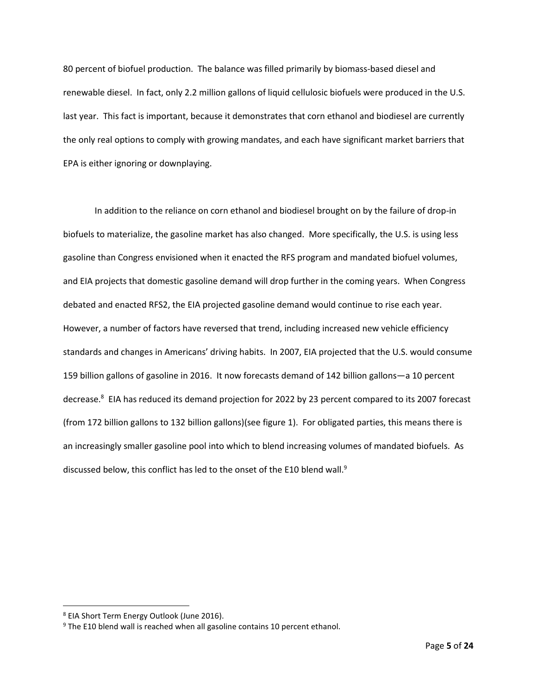80 percent of biofuel production. The balance was filled primarily by biomass-based diesel and renewable diesel. In fact, only 2.2 million gallons of liquid cellulosic biofuels were produced in the U.S. last year. This fact is important, because it demonstrates that corn ethanol and biodiesel are currently the only real options to comply with growing mandates, and each have significant market barriers that EPA is either ignoring or downplaying.

In addition to the reliance on corn ethanol and biodiesel brought on by the failure of drop-in biofuels to materialize, the gasoline market has also changed. More specifically, the U.S. is using less gasoline than Congress envisioned when it enacted the RFS program and mandated biofuel volumes, and EIA projects that domestic gasoline demand will drop further in the coming years. When Congress debated and enacted RFS2, the EIA projected gasoline demand would continue to rise each year. However, a number of factors have reversed that trend, including increased new vehicle efficiency standards and changes in Americans' driving habits. In 2007, EIA projected that the U.S. would consume 159 billion gallons of gasoline in 2016. It now forecasts demand of 142 billion gallons—a 10 percent decrease.<sup>8</sup> EIA has reduced its demand projection for 2022 by 23 percent compared to its 2007 forecast (from 172 billion gallons to 132 billion gallons)(see figure 1). For obligated parties, this means there is an increasingly smaller gasoline pool into which to blend increasing volumes of mandated biofuels. As discussed below, this conflict has led to the onset of the E10 blend wall.<sup>9</sup>

<sup>8</sup> EIA Short Term Energy Outlook (June 2016).

<sup>&</sup>lt;sup>9</sup> The E10 blend wall is reached when all gasoline contains 10 percent ethanol.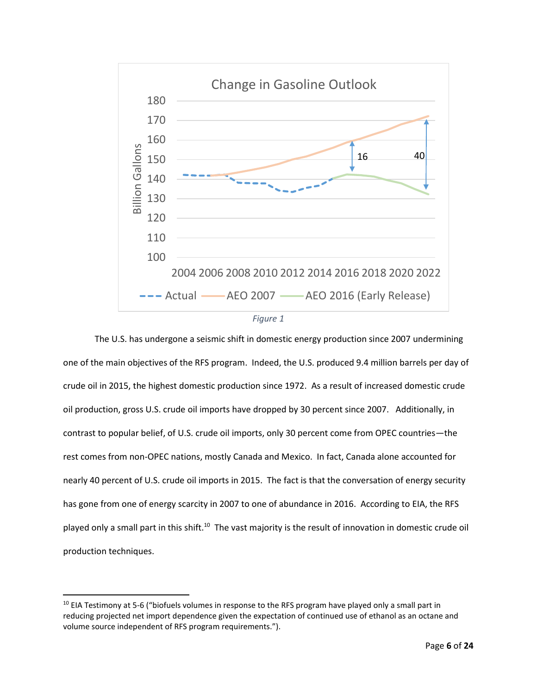



The U.S. has undergone a seismic shift in domestic energy production since 2007 undermining one of the main objectives of the RFS program. Indeed, the U.S. produced 9.4 million barrels per day of crude oil in 2015, the highest domestic production since 1972. As a result of increased domestic crude oil production, gross U.S. crude oil imports have dropped by 30 percent since 2007. Additionally, in contrast to popular belief, of U.S. crude oil imports, only 30 percent come from OPEC countries—the rest comes from non-OPEC nations, mostly Canada and Mexico. In fact, Canada alone accounted for nearly 40 percent of U.S. crude oil imports in 2015. The fact is that the conversation of energy security has gone from one of energy scarcity in 2007 to one of abundance in 2016. According to EIA, the RFS played only a small part in this shift.<sup>10</sup> The vast majority is the result of innovation in domestic crude oil production techniques.

<sup>&</sup>lt;sup>10</sup> EIA Testimony at 5-6 ("biofuels volumes in response to the RFS program have played only a small part in reducing projected net import dependence given the expectation of continued use of ethanol as an octane and volume source independent of RFS program requirements.").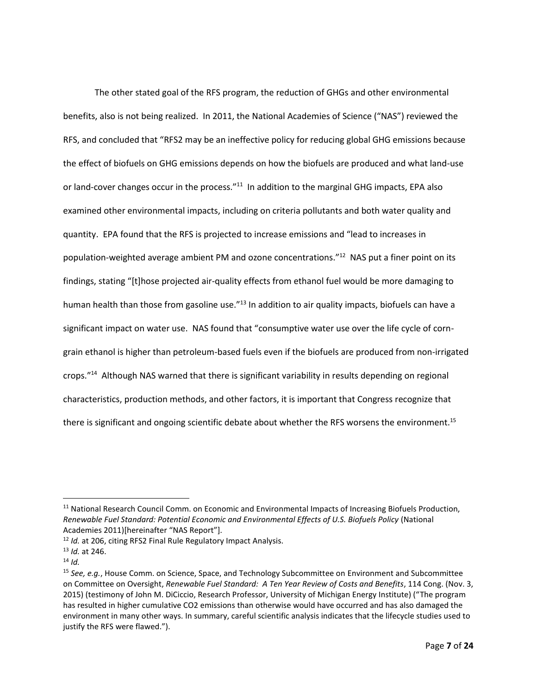The other stated goal of the RFS program, the reduction of GHGs and other environmental benefits, also is not being realized. In 2011, the National Academies of Science ("NAS") reviewed the RFS, and concluded that "RFS2 may be an ineffective policy for reducing global GHG emissions because the effect of biofuels on GHG emissions depends on how the biofuels are produced and what land-use or land-cover changes occur in the process."<sup>11</sup> In addition to the marginal GHG impacts, EPA also examined other environmental impacts, including on criteria pollutants and both water quality and quantity. EPA found that the RFS is projected to increase emissions and "lead to increases in population-weighted average ambient PM and ozone concentrations."<sup>12</sup> NAS put a finer point on its findings, stating "[t]hose projected air-quality effects from ethanol fuel would be more damaging to human health than those from gasoline use.<sup>"13</sup> In addition to air quality impacts, biofuels can have a significant impact on water use. NAS found that "consumptive water use over the life cycle of corngrain ethanol is higher than petroleum-based fuels even if the biofuels are produced from non-irrigated crops."<sup>14</sup> Although NAS warned that there is significant variability in results depending on regional characteristics, production methods, and other factors, it is important that Congress recognize that there is significant and ongoing scientific debate about whether the RFS worsens the environment.<sup>15</sup>

<sup>&</sup>lt;sup>11</sup> National Research Council Comm. on Economic and Environmental Impacts of Increasing Biofuels Production, *Renewable Fuel Standard: Potential Economic and Environmental Effects of U.S. Biofuels Policy* (National Academies 2011)[hereinafter "NAS Report"].

<sup>12</sup> *Id.* at 206, citing RFS2 Final Rule Regulatory Impact Analysis.

<sup>13</sup> *Id.* at 246.

 $14$  *Id.* 

<sup>15</sup> *See, e.g.*, House Comm. on Science, Space, and Technology Subcommittee on Environment and Subcommittee on Committee on Oversight, *Renewable Fuel Standard: A Ten Year Review of Costs and Benefits*, 114 Cong. (Nov. 3, 2015) (testimony of John M. DiCiccio, Research Professor, University of Michigan Energy Institute) ("The program has resulted in higher cumulative CO2 emissions than otherwise would have occurred and has also damaged the environment in many other ways. In summary, careful scientific analysis indicates that the lifecycle studies used to justify the RFS were flawed.").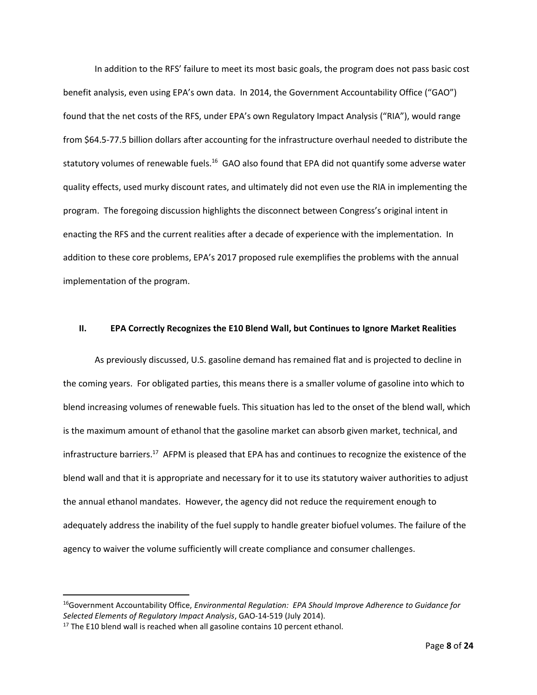In addition to the RFS' failure to meet its most basic goals, the program does not pass basic cost benefit analysis, even using EPA's own data. In 2014, the Government Accountability Office ("GAO") found that the net costs of the RFS, under EPA's own Regulatory Impact Analysis ("RIA"), would range from \$64.5-77.5 billion dollars after accounting for the infrastructure overhaul needed to distribute the statutory volumes of renewable fuels.<sup>16</sup> GAO also found that EPA did not quantify some adverse water quality effects, used murky discount rates, and ultimately did not even use the RIA in implementing the program. The foregoing discussion highlights the disconnect between Congress's original intent in enacting the RFS and the current realities after a decade of experience with the implementation. In addition to these core problems, EPA's 2017 proposed rule exemplifies the problems with the annual implementation of the program.

#### **II. EPA Correctly Recognizes the E10 Blend Wall, but Continues to Ignore Market Realities**

As previously discussed, U.S. gasoline demand has remained flat and is projected to decline in the coming years. For obligated parties, this means there is a smaller volume of gasoline into which to blend increasing volumes of renewable fuels. This situation has led to the onset of the blend wall, which is the maximum amount of ethanol that the gasoline market can absorb given market, technical, and infrastructure barriers.<sup>17</sup> AFPM is pleased that EPA has and continues to recognize the existence of the blend wall and that it is appropriate and necessary for it to use its statutory waiver authorities to adjust the annual ethanol mandates. However, the agency did not reduce the requirement enough to adequately address the inability of the fuel supply to handle greater biofuel volumes. The failure of the agency to waiver the volume sufficiently will create compliance and consumer challenges.

<sup>16</sup>Government Accountability Office, *Environmental Regulation: EPA Should Improve Adherence to Guidance for Selected Elements of Regulatory Impact Analysis*, GAO-14-519 (July 2014).

 $17$  The E10 blend wall is reached when all gasoline contains 10 percent ethanol.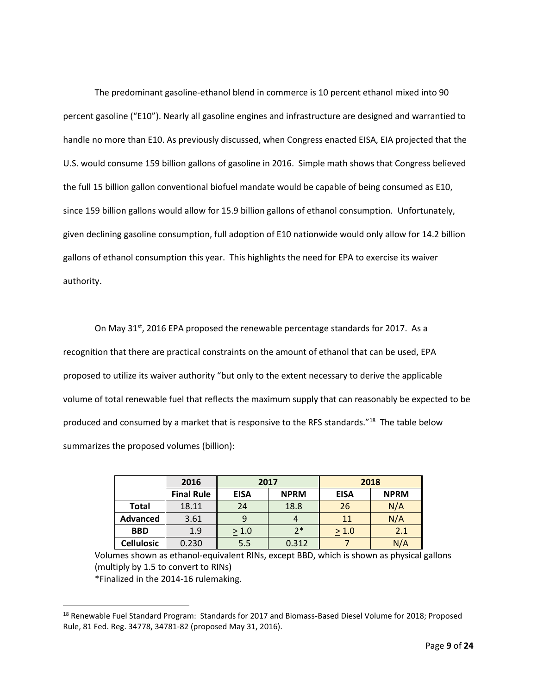The predominant gasoline-ethanol blend in commerce is 10 percent ethanol mixed into 90 percent gasoline ("E10"). Nearly all gasoline engines and infrastructure are designed and warrantied to handle no more than E10. As previously discussed, when Congress enacted EISA, EIA projected that the U.S. would consume 159 billion gallons of gasoline in 2016. Simple math shows that Congress believed the full 15 billion gallon conventional biofuel mandate would be capable of being consumed as E10, since 159 billion gallons would allow for 15.9 billion gallons of ethanol consumption. Unfortunately, given declining gasoline consumption, full adoption of E10 nationwide would only allow for 14.2 billion gallons of ethanol consumption this year. This highlights the need for EPA to exercise its waiver authority.

On May 31<sup>st</sup>, 2016 EPA proposed the renewable percentage standards for 2017. As a recognition that there are practical constraints on the amount of ethanol that can be used, EPA proposed to utilize its waiver authority "but only to the extent necessary to derive the applicable volume of total renewable fuel that reflects the maximum supply that can reasonably be expected to be produced and consumed by a market that is responsive to the RFS standards."<sup>18</sup> The table below summarizes the proposed volumes (billion):

|                   | 2016              | 2017        |             | 2018        |             |
|-------------------|-------------------|-------------|-------------|-------------|-------------|
|                   | <b>Final Rule</b> | <b>EISA</b> | <b>NPRM</b> | <b>EISA</b> | <b>NPRM</b> |
| <b>Total</b>      | 18.11             | 24          | 18.8        | 26          | N/A         |
| Advanced          | 3.61              |             |             | 11          | N/A         |
| <b>BBD</b>        | 1.9               | > 1.0       | $7*$        | > 1.0       | 2.1         |
| <b>Cellulosic</b> | 0.230             | 5.5         | 0.312       |             | N/A         |

Volumes shown as ethanol-equivalent RINs, except BBD, which is shown as physical gallons (multiply by 1.5 to convert to RINs) \*Finalized in the 2014-16 rulemaking.

<sup>&</sup>lt;sup>18</sup> Renewable Fuel Standard Program: Standards for 2017 and Biomass-Based Diesel Volume for 2018; Proposed Rule, 81 Fed. Reg. 34778, 34781-82 (proposed May 31, 2016).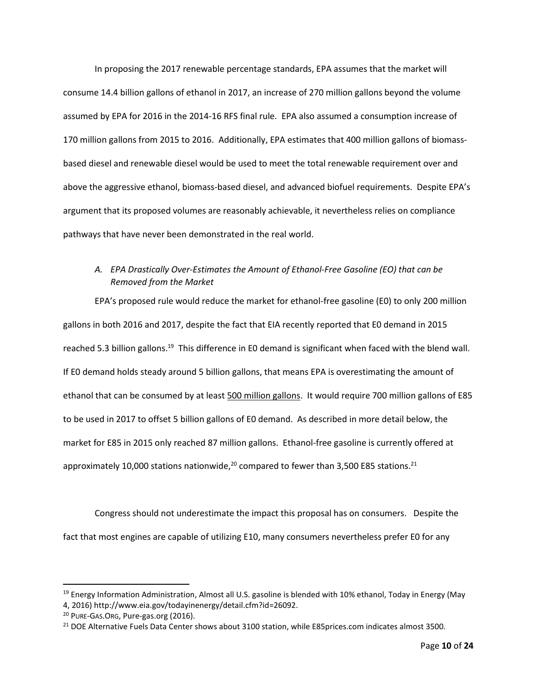In proposing the 2017 renewable percentage standards, EPA assumes that the market will consume 14.4 billion gallons of ethanol in 2017, an increase of 270 million gallons beyond the volume assumed by EPA for 2016 in the 2014-16 RFS final rule. EPA also assumed a consumption increase of 170 million gallons from 2015 to 2016. Additionally, EPA estimates that 400 million gallons of biomassbased diesel and renewable diesel would be used to meet the total renewable requirement over and above the aggressive ethanol, biomass-based diesel, and advanced biofuel requirements. Despite EPA's argument that its proposed volumes are reasonably achievable, it nevertheless relies on compliance pathways that have never been demonstrated in the real world.

# *A. EPA Drastically Over-Estimates the Amount of Ethanol-Free Gasoline (EO) that can be Removed from the Market*

EPA's proposed rule would reduce the market for ethanol-free gasoline (E0) to only 200 million gallons in both 2016 and 2017, despite the fact that EIA recently reported that E0 demand in 2015 reached 5.3 billion gallons.<sup>19</sup> This difference in E0 demand is significant when faced with the blend wall. If E0 demand holds steady around 5 billion gallons, that means EPA is overestimating the amount of ethanol that can be consumed by at least 500 million gallons. It would require 700 million gallons of E85 to be used in 2017 to offset 5 billion gallons of E0 demand. As described in more detail below, the market for E85 in 2015 only reached 87 million gallons. Ethanol-free gasoline is currently offered at approximately 10,000 stations nationwide, $^{20}$  compared to fewer than 3,500 E85 stations.<sup>21</sup>

Congress should not underestimate the impact this proposal has on consumers. Despite the fact that most engines are capable of utilizing E10, many consumers nevertheless prefer E0 for any

 $\overline{a}$ 

<sup>&</sup>lt;sup>19</sup> Energy Information Administration, Almost all U.S. gasoline is blended with 10% ethanol, Today in Energy (May 4, 2016) http://www.eia.gov/todayinenergy/detail.cfm?id=26092.

<sup>&</sup>lt;sup>20</sup> PURE-GAS.ORG, Pure-gas.org (2016).

<sup>&</sup>lt;sup>21</sup> DOE Alternative Fuels Data Center shows about 3100 station, while E85prices.com indicates almost 3500.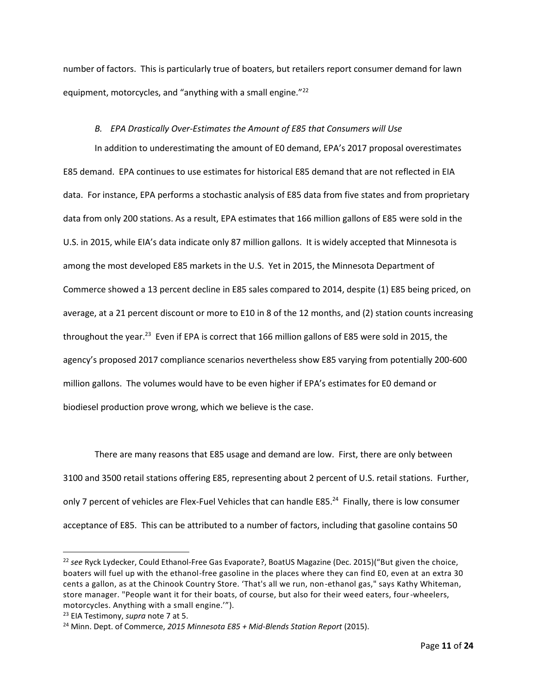number of factors. This is particularly true of boaters, but retailers report consumer demand for lawn equipment, motorcycles, and "anything with a small engine."<sup>22</sup>

### *B. EPA Drastically Over-Estimates the Amount of E85 that Consumers will Use*

In addition to underestimating the amount of E0 demand, EPA's 2017 proposal overestimates E85 demand. EPA continues to use estimates for historical E85 demand that are not reflected in EIA data. For instance, EPA performs a stochastic analysis of E85 data from five states and from proprietary data from only 200 stations. As a result, EPA estimates that 166 million gallons of E85 were sold in the U.S. in 2015, while EIA's data indicate only 87 million gallons. It is widely accepted that Minnesota is among the most developed E85 markets in the U.S. Yet in 2015, the Minnesota Department of Commerce showed a 13 percent decline in E85 sales compared to 2014, despite (1) E85 being priced, on average, at a 21 percent discount or more to E10 in 8 of the 12 months, and (2) station counts increasing throughout the year.<sup>23</sup> Even if EPA is correct that 166 million gallons of E85 were sold in 2015, the agency's proposed 2017 compliance scenarios nevertheless show E85 varying from potentially 200-600 million gallons. The volumes would have to be even higher if EPA's estimates for E0 demand or biodiesel production prove wrong, which we believe is the case.

There are many reasons that E85 usage and demand are low. First, there are only between 3100 and 3500 retail stations offering E85, representing about 2 percent of U.S. retail stations. Further, only 7 percent of vehicles are Flex-Fuel Vehicles that can handle E85.<sup>24</sup> Finally, there is low consumer acceptance of E85. This can be attributed to a number of factors, including that gasoline contains 50

<sup>22</sup> *see* Ryck Lydecker, Could Ethanol-Free Gas Evaporate?, BoatUS Magazine (Dec. 2015)("But given the choice, boaters will fuel up with the ethanol-free gasoline in the places where they can find E0, even at an extra 30 cents a gallon, as at the Chinook Country Store. 'That's all we run, non-ethanol gas," says Kathy Whiteman, store manager. "People want it for their boats, of course, but also for their weed eaters, four-wheelers, motorcycles. Anything with a small engine.'").

<sup>23</sup> EIA Testimony, *supra* note 7 at 5.

<sup>24</sup> Minn. Dept. of Commerce, *2015 Minnesota E85 + Mid-Blends Station Report* (2015).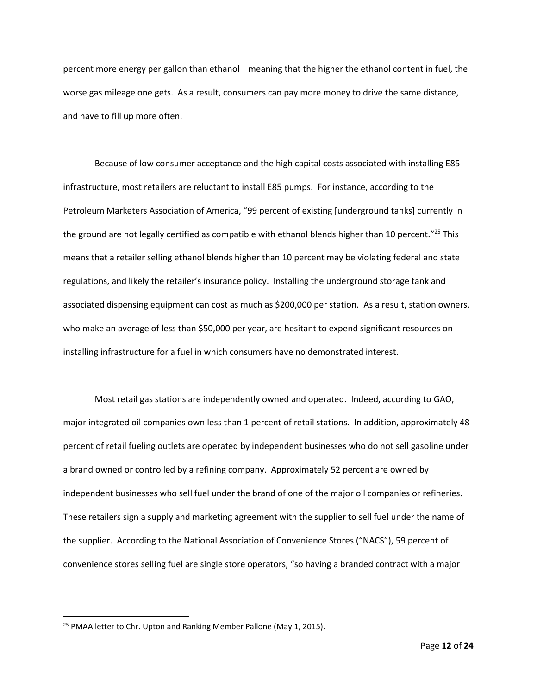percent more energy per gallon than ethanol—meaning that the higher the ethanol content in fuel, the worse gas mileage one gets. As a result, consumers can pay more money to drive the same distance, and have to fill up more often.

Because of low consumer acceptance and the high capital costs associated with installing E85 infrastructure, most retailers are reluctant to install E85 pumps. For instance, according to the Petroleum Marketers Association of America, "99 percent of existing [underground tanks] currently in the ground are not legally certified as compatible with ethanol blends higher than 10 percent."<sup>25</sup> This means that a retailer selling ethanol blends higher than 10 percent may be violating federal and state regulations, and likely the retailer's insurance policy. Installing the underground storage tank and associated dispensing equipment can cost as much as \$200,000 per station. As a result, station owners, who make an average of less than \$50,000 per year, are hesitant to expend significant resources on installing infrastructure for a fuel in which consumers have no demonstrated interest.

Most retail gas stations are independently owned and operated. Indeed, according to GAO, major integrated oil companies own less than 1 percent of retail stations. In addition, approximately 48 percent of retail fueling outlets are operated by independent businesses who do not sell gasoline under a brand owned or controlled by a refining company. Approximately 52 percent are owned by independent businesses who sell fuel under the brand of one of the major oil companies or refineries. These retailers sign a supply and marketing agreement with the supplier to sell fuel under the name of the supplier. According to the National Association of Convenience Stores ("NACS"), 59 percent of convenience stores selling fuel are single store operators, "so having a branded contract with a major

<sup>&</sup>lt;sup>25</sup> PMAA letter to Chr. Upton and Ranking Member Pallone (May 1, 2015).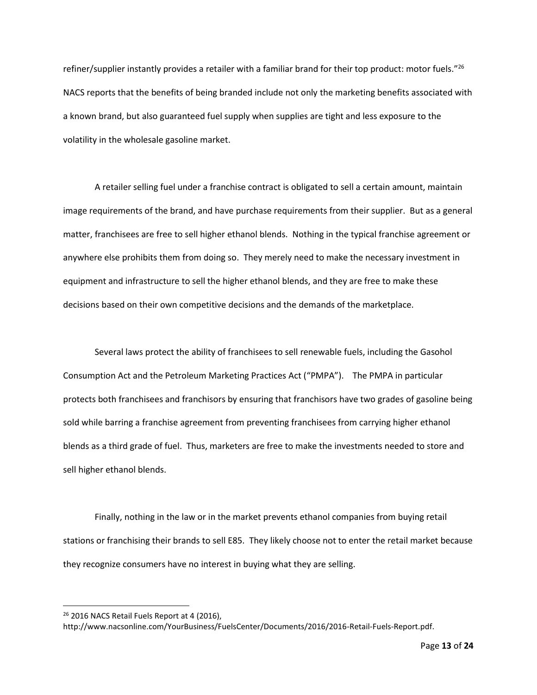refiner/supplier instantly provides a retailer with a familiar brand for their top product: motor fuels."<sup>26</sup> NACS reports that the benefits of being branded include not only the marketing benefits associated with a known brand, but also guaranteed fuel supply when supplies are tight and less exposure to the volatility in the wholesale gasoline market.

A retailer selling fuel under a franchise contract is obligated to sell a certain amount, maintain image requirements of the brand, and have purchase requirements from their supplier. But as a general matter, franchisees are free to sell higher ethanol blends. Nothing in the typical franchise agreement or anywhere else prohibits them from doing so. They merely need to make the necessary investment in equipment and infrastructure to sell the higher ethanol blends, and they are free to make these decisions based on their own competitive decisions and the demands of the marketplace.

Several laws protect the ability of franchisees to sell renewable fuels, including the Gasohol Consumption Act and the Petroleum Marketing Practices Act ("PMPA"). The PMPA in particular protects both franchisees and franchisors by ensuring that franchisors have two grades of gasoline being sold while barring a franchise agreement from preventing franchisees from carrying higher ethanol blends as a third grade of fuel. Thus, marketers are free to make the investments needed to store and sell higher ethanol blends.

Finally, nothing in the law or in the market prevents ethanol companies from buying retail stations or franchising their brands to sell E85. They likely choose not to enter the retail market because they recognize consumers have no interest in buying what they are selling.

<sup>&</sup>lt;sup>26</sup> 2016 NACS Retail Fuels Report at 4 (2016),

http://www.nacsonline.com/YourBusiness/FuelsCenter/Documents/2016/2016-Retail-Fuels-Report.pdf.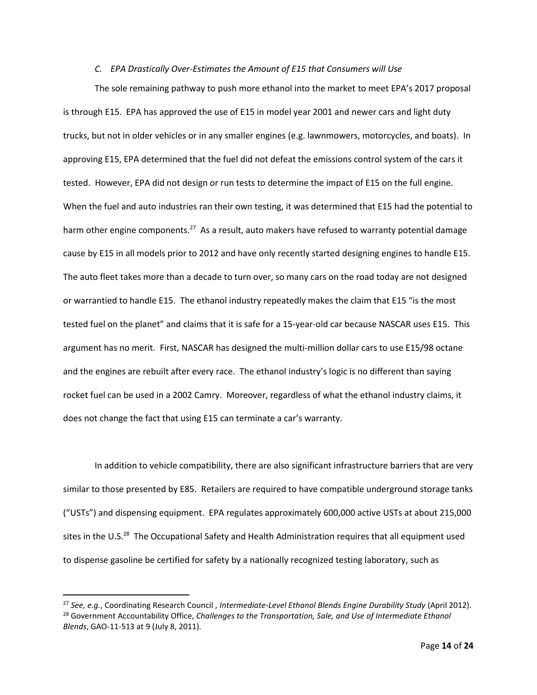#### *C. EPA Drastically Over-Estimates the Amount of E15 that Consumers will Use*

The sole remaining pathway to push more ethanol into the market to meet EPA's 2017 proposal is through E15. EPA has approved the use of E15 in model year 2001 and newer cars and light duty trucks, but not in older vehicles or in any smaller engines (e.g. lawnmowers, motorcycles, and boats). In approving E15, EPA determined that the fuel did not defeat the emissions control system of the cars it tested. However, EPA did not design or run tests to determine the impact of E15 on the full engine. When the fuel and auto industries ran their own testing, it was determined that E15 had the potential to harm other engine components.<sup>27</sup> As a result, auto makers have refused to warranty potential damage cause by E15 in all models prior to 2012 and have only recently started designing engines to handle E15. The auto fleet takes more than a decade to turn over, so many cars on the road today are not designed or warrantied to handle E15. The ethanol industry repeatedly makes the claim that E15 "is the most tested fuel on the planet" and claims that it is safe for a 15-year-old car because NASCAR uses E15. This argument has no merit. First, NASCAR has designed the multi-million dollar cars to use E15/98 octane and the engines are rebuilt after every race. The ethanol industry's logic is no different than saying rocket fuel can be used in a 2002 Camry. Moreover, regardless of what the ethanol industry claims, it does not change the fact that using E15 can terminate a car's warranty.

In addition to vehicle compatibility, there are also significant infrastructure barriers that are very similar to those presented by E85. Retailers are required to have compatible underground storage tanks ("USTs") and dispensing equipment. EPA regulates approximately 600,000 active USTs at about 215,000 sites in the U.S.<sup>28</sup> The Occupational Safety and Health Administration requires that all equipment used to dispense gasoline be certified for safety by a nationally recognized testing laboratory, such as

<sup>27</sup> *See, e.g.*, Coordinating Research Council , *Intermediate-Level Ethanol Blends Engine Durability Study* (April 2012). <sup>28</sup> Government Accountability Office, *Challenges to the Transportation, Sale, and Use of Intermediate Ethanol Blends*, GAO-11-513 at 9 (July 8, 2011).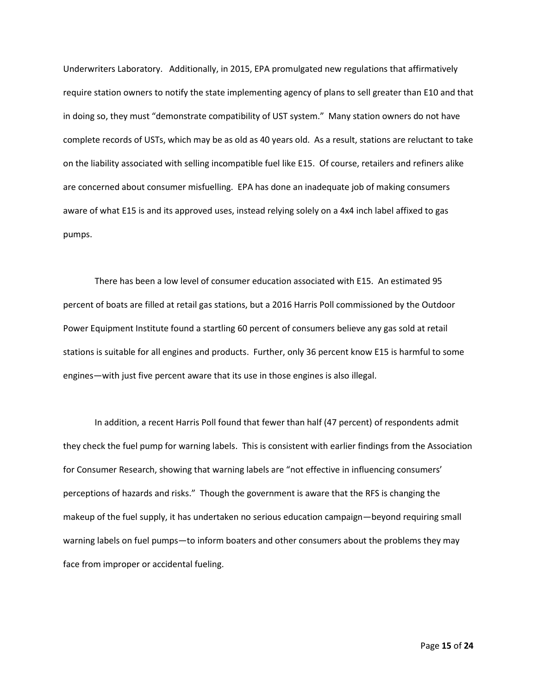Underwriters Laboratory. Additionally, in 2015, EPA promulgated new regulations that affirmatively require station owners to notify the state implementing agency of plans to sell greater than E10 and that in doing so, they must "demonstrate compatibility of UST system." Many station owners do not have complete records of USTs, which may be as old as 40 years old. As a result, stations are reluctant to take on the liability associated with selling incompatible fuel like E15. Of course, retailers and refiners alike are concerned about consumer misfuelling. EPA has done an inadequate job of making consumers aware of what E15 is and its approved uses, instead relying solely on a 4x4 inch label affixed to gas pumps.

There has been a low level of consumer education associated with E15. An estimated 95 percent of boats are filled at retail gas stations, but a 2016 Harris Poll commissioned by the Outdoor Power Equipment Institute found a startling 60 percent of consumers believe any gas sold at retail stations is suitable for all engines and products. Further, only 36 percent know E15 is harmful to some engines—with just five percent aware that its use in those engines is also illegal.

In addition, a recent Harris Poll found that fewer than half (47 percent) of respondents admit they check the fuel pump for warning labels. This is consistent with earlier findings from the Association for Consumer Research, showing that warning labels are "not effective in influencing consumers' perceptions of hazards and risks." Though the government is aware that the RFS is changing the makeup of the fuel supply, it has undertaken no serious education campaign—beyond requiring small warning labels on fuel pumps—to inform boaters and other consumers about the problems they may face from improper or accidental fueling.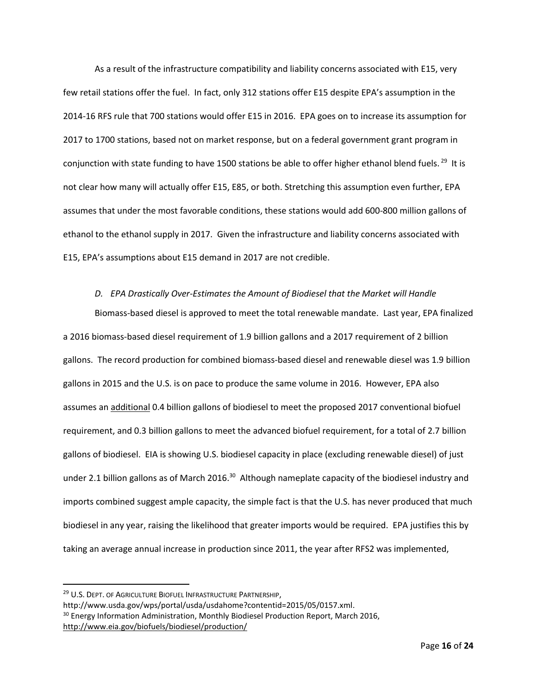As a result of the infrastructure compatibility and liability concerns associated with E15, very few retail stations offer the fuel. In fact, only 312 stations offer E15 despite EPA's assumption in the 2014-16 RFS rule that 700 stations would offer E15 in 2016. EPA goes on to increase its assumption for 2017 to 1700 stations, based not on market response, but on a federal government grant program in conjunction with state funding to have 1500 stations be able to offer higher ethanol blend fuels. <sup>29</sup> It is not clear how many will actually offer E15, E85, or both. Stretching this assumption even further, EPA assumes that under the most favorable conditions, these stations would add 600-800 million gallons of ethanol to the ethanol supply in 2017. Given the infrastructure and liability concerns associated with E15, EPA's assumptions about E15 demand in 2017 are not credible.

#### *D. EPA Drastically Over-Estimates the Amount of Biodiesel that the Market will Handle*

Biomass-based diesel is approved to meet the total renewable mandate. Last year, EPA finalized a 2016 biomass-based diesel requirement of 1.9 billion gallons and a 2017 requirement of 2 billion gallons. The record production for combined biomass-based diesel and renewable diesel was 1.9 billion gallons in 2015 and the U.S. is on pace to produce the same volume in 2016. However, EPA also assumes an additional 0.4 billion gallons of biodiesel to meet the proposed 2017 conventional biofuel requirement, and 0.3 billion gallons to meet the advanced biofuel requirement, for a total of 2.7 billion gallons of biodiesel. EIA is showing U.S. biodiesel capacity in place (excluding renewable diesel) of just under 2.1 billion gallons as of March 2016.<sup>30</sup> Although nameplate capacity of the biodiesel industry and imports combined suggest ample capacity, the simple fact is that the U.S. has never produced that much biodiesel in any year, raising the likelihood that greater imports would be required. EPA justifies this by taking an average annual increase in production since 2011, the year after RFS2 was implemented,

 $\overline{a}$ 

<sup>&</sup>lt;sup>29</sup> U.S. DEPT. OF AGRICULTURE BIOFUEL INFRASTRUCTURE PARTNERSHIP,

http://www.usda.gov/wps/portal/usda/usdahome?contentid=2015/05/0157.xml.

<sup>&</sup>lt;sup>30</sup> Energy Information Administration, Monthly Biodiesel Production Report, March 2016, <http://www.eia.gov/biofuels/biodiesel/production/>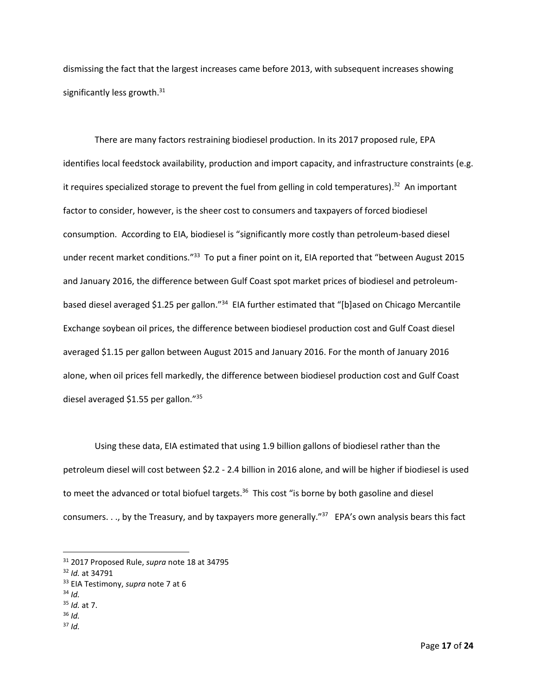dismissing the fact that the largest increases came before 2013, with subsequent increases showing significantly less growth.<sup>31</sup>

There are many factors restraining biodiesel production. In its 2017 proposed rule, EPA identifies local feedstock availability, production and import capacity, and infrastructure constraints (e.g. it requires specialized storage to prevent the fuel from gelling in cold temperatures).<sup>32</sup> An important factor to consider, however, is the sheer cost to consumers and taxpayers of forced biodiesel consumption. According to EIA, biodiesel is "significantly more costly than petroleum-based diesel under recent market conditions."<sup>33</sup> To put a finer point on it, EIA reported that "between August 2015 and January 2016, the difference between Gulf Coast spot market prices of biodiesel and petroleumbased diesel averaged \$1.25 per gallon."<sup>34</sup> EIA further estimated that "[b]ased on Chicago Mercantile Exchange soybean oil prices, the difference between biodiesel production cost and Gulf Coast diesel averaged \$1.15 per gallon between August 2015 and January 2016. For the month of January 2016 alone, when oil prices fell markedly, the difference between biodiesel production cost and Gulf Coast diesel averaged \$1.55 per gallon."<sup>35</sup>

Using these data, EIA estimated that using 1.9 billion gallons of biodiesel rather than the petroleum diesel will cost between \$2.2 - 2.4 billion in 2016 alone, and will be higher if biodiesel is used to meet the advanced or total biofuel targets.<sup>36</sup> This cost "is borne by both gasoline and diesel consumers. . ., by the Treasury, and by taxpayers more generally."<sup>37</sup> EPA's own analysis bears this fact

<sup>34</sup> *Id.*

- <sup>35</sup> *Id.* at 7.
- <sup>36</sup> *Id.*
- $37$  *Id.*

<sup>31</sup> 2017 Proposed Rule, *supra* note 18 at 34795

<sup>32</sup> *Id.* at 34791

<sup>33</sup> EIA Testimony, *supra* note 7 at 6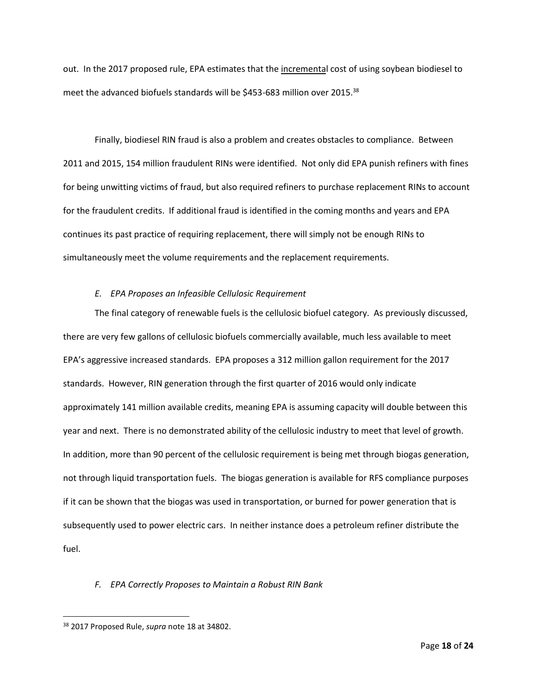out. In the 2017 proposed rule, EPA estimates that the incremental cost of using soybean biodiesel to meet the advanced biofuels standards will be \$453-683 million over 2015.<sup>38</sup>

Finally, biodiesel RIN fraud is also a problem and creates obstacles to compliance. Between 2011 and 2015, 154 million fraudulent RINs were identified. Not only did EPA punish refiners with fines for being unwitting victims of fraud, but also required refiners to purchase replacement RINs to account for the fraudulent credits. If additional fraud is identified in the coming months and years and EPA continues its past practice of requiring replacement, there will simply not be enough RINs to simultaneously meet the volume requirements and the replacement requirements.

#### *E. EPA Proposes an Infeasible Cellulosic Requirement*

The final category of renewable fuels is the cellulosic biofuel category. As previously discussed, there are very few gallons of cellulosic biofuels commercially available, much less available to meet EPA's aggressive increased standards. EPA proposes a 312 million gallon requirement for the 2017 standards. However, RIN generation through the first quarter of 2016 would only indicate approximately 141 million available credits, meaning EPA is assuming capacity will double between this year and next. There is no demonstrated ability of the cellulosic industry to meet that level of growth. In addition, more than 90 percent of the cellulosic requirement is being met through biogas generation, not through liquid transportation fuels. The biogas generation is available for RFS compliance purposes if it can be shown that the biogas was used in transportation, or burned for power generation that is subsequently used to power electric cars. In neither instance does a petroleum refiner distribute the fuel.

## *F. EPA Correctly Proposes to Maintain a Robust RIN Bank*

<sup>38</sup> 2017 Proposed Rule, *supra* note 18 at 34802.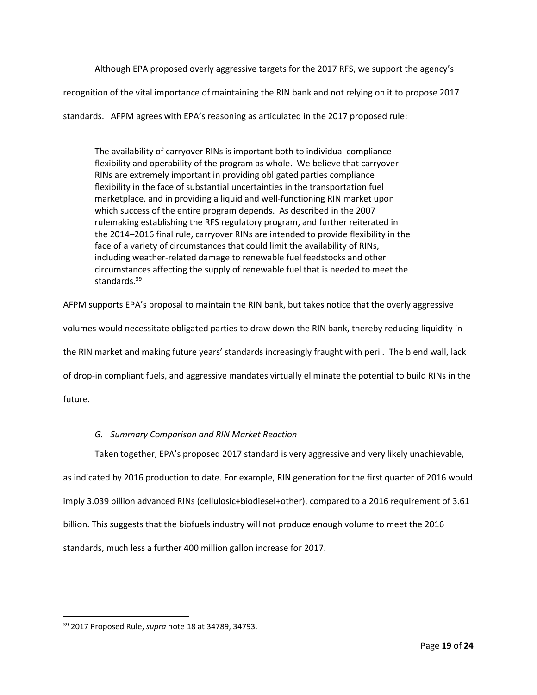Although EPA proposed overly aggressive targets for the 2017 RFS, we support the agency's

recognition of the vital importance of maintaining the RIN bank and not relying on it to propose 2017

standards. AFPM agrees with EPA's reasoning as articulated in the 2017 proposed rule:

The availability of carryover RINs is important both to individual compliance flexibility and operability of the program as whole. We believe that carryover RINs are extremely important in providing obligated parties compliance flexibility in the face of substantial uncertainties in the transportation fuel marketplace, and in providing a liquid and well-functioning RIN market upon which success of the entire program depends. As described in the 2007 rulemaking establishing the RFS regulatory program, and further reiterated in the 2014–2016 final rule, carryover RINs are intended to provide flexibility in the face of a variety of circumstances that could limit the availability of RINs, including weather-related damage to renewable fuel feedstocks and other circumstances affecting the supply of renewable fuel that is needed to meet the standards.<sup>39</sup>

AFPM supports EPA's proposal to maintain the RIN bank, but takes notice that the overly aggressive

volumes would necessitate obligated parties to draw down the RIN bank, thereby reducing liquidity in

the RIN market and making future years' standards increasingly fraught with peril. The blend wall, lack

of drop-in compliant fuels, and aggressive mandates virtually eliminate the potential to build RINs in the

future.

 $\overline{\phantom{a}}$ 

## *G. Summary Comparison and RIN Market Reaction*

Taken together, EPA's proposed 2017 standard is very aggressive and very likely unachievable,

as indicated by 2016 production to date. For example, RIN generation for the first quarter of 2016 would

imply 3.039 billion advanced RINs (cellulosic+biodiesel+other), compared to a 2016 requirement of 3.61

billion. This suggests that the biofuels industry will not produce enough volume to meet the 2016

standards, much less a further 400 million gallon increase for 2017.

<sup>39</sup> 2017 Proposed Rule, *supra* note 18 at 34789, 34793.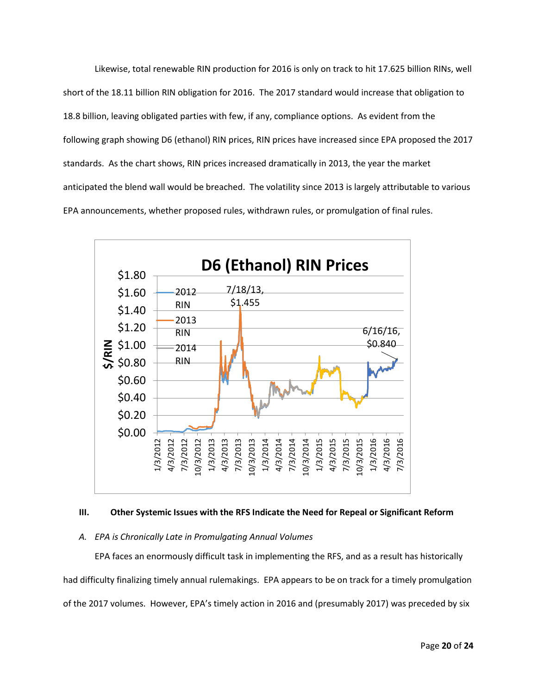Likewise, total renewable RIN production for 2016 is only on track to hit 17.625 billion RINs, well short of the 18.11 billion RIN obligation for 2016. The 2017 standard would increase that obligation to 18.8 billion, leaving obligated parties with few, if any, compliance options. As evident from the following graph showing D6 (ethanol) RIN prices, RIN prices have increased since EPA proposed the 2017 standards. As the chart shows, RIN prices increased dramatically in 2013, the year the market anticipated the blend wall would be breached. The volatility since 2013 is largely attributable to various EPA announcements, whether proposed rules, withdrawn rules, or promulgation of final rules.



### **III. Other Systemic Issues with the RFS Indicate the Need for Repeal or Significant Reform**

### *A. EPA is Chronically Late in Promulgating Annual Volumes*

EPA faces an enormously difficult task in implementing the RFS, and as a result has historically had difficulty finalizing timely annual rulemakings. EPA appears to be on track for a timely promulgation of the 2017 volumes. However, EPA's timely action in 2016 and (presumably 2017) was preceded by six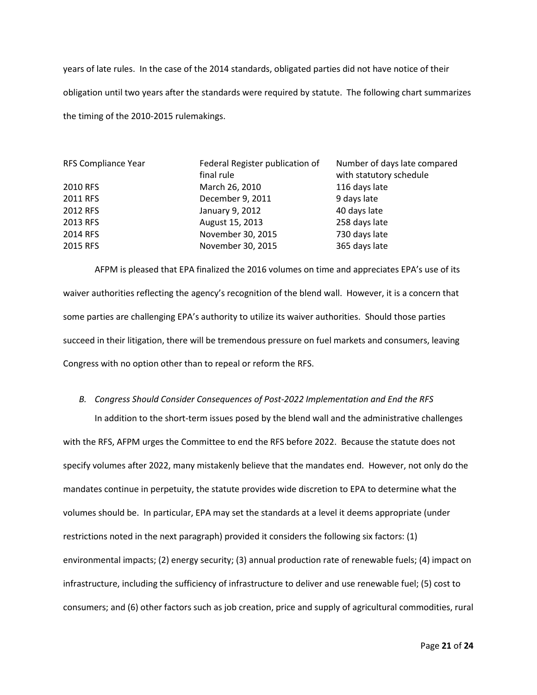years of late rules. In the case of the 2014 standards, obligated parties did not have notice of their obligation until two years after the standards were required by statute. The following chart summarizes the timing of the 2010-2015 rulemakings.

| RFS Compliance Year | Federal Register publication of | Number of days late compared |
|---------------------|---------------------------------|------------------------------|
|                     | final rule                      | with statutory schedule      |
| 2010 RFS            | March 26, 2010                  | 116 days late                |
| 2011 RFS            | December 9, 2011                | 9 days late                  |
| 2012 RFS            | January 9, 2012                 | 40 days late                 |
| 2013 RFS            | August 15, 2013                 | 258 days late                |
| 2014 RFS            | November 30, 2015               | 730 days late                |
| 2015 RFS            | November 30, 2015               | 365 days late                |

AFPM is pleased that EPA finalized the 2016 volumes on time and appreciates EPA's use of its waiver authorities reflecting the agency's recognition of the blend wall. However, it is a concern that some parties are challenging EPA's authority to utilize its waiver authorities. Should those parties succeed in their litigation, there will be tremendous pressure on fuel markets and consumers, leaving Congress with no option other than to repeal or reform the RFS.

#### *B. Congress Should Consider Consequences of Post-2022 Implementation and End the RFS*

In addition to the short-term issues posed by the blend wall and the administrative challenges with the RFS, AFPM urges the Committee to end the RFS before 2022. Because the statute does not specify volumes after 2022, many mistakenly believe that the mandates end. However, not only do the mandates continue in perpetuity, the statute provides wide discretion to EPA to determine what the volumes should be. In particular, EPA may set the standards at a level it deems appropriate (under restrictions noted in the next paragraph) provided it considers the following six factors: (1) environmental impacts; (2) energy security; (3) annual production rate of renewable fuels; (4) impact on infrastructure, including the sufficiency of infrastructure to deliver and use renewable fuel; (5) cost to consumers; and (6) other factors such as job creation, price and supply of agricultural commodities, rural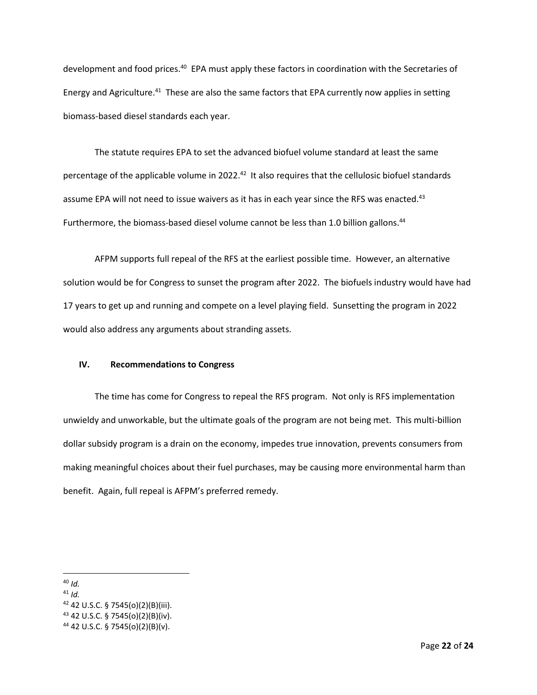development and food prices.<sup>40</sup> EPA must apply these factors in coordination with the Secretaries of Energy and Agriculture.<sup>41</sup> These are also the same factors that EPA currently now applies in setting biomass-based diesel standards each year.

The statute requires EPA to set the advanced biofuel volume standard at least the same percentage of the applicable volume in 2022.<sup>42</sup> It also requires that the cellulosic biofuel standards assume EPA will not need to issue waivers as it has in each year since the RFS was enacted.<sup>43</sup> Furthermore, the biomass-based diesel volume cannot be less than 1.0 billion gallons.<sup>44</sup>

AFPM supports full repeal of the RFS at the earliest possible time. However, an alternative solution would be for Congress to sunset the program after 2022. The biofuels industry would have had 17 years to get up and running and compete on a level playing field. Sunsetting the program in 2022 would also address any arguments about stranding assets.

## **IV. Recommendations to Congress**

The time has come for Congress to repeal the RFS program. Not only is RFS implementation unwieldy and unworkable, but the ultimate goals of the program are not being met. This multi-billion dollar subsidy program is a drain on the economy, impedes true innovation, prevents consumers from making meaningful choices about their fuel purchases, may be causing more environmental harm than benefit. Again, full repeal is AFPM's preferred remedy.

<sup>40</sup> *Id.*

<sup>41</sup> *Id.*

 $42$  42 U.S.C. § 7545(o)(2)(B)(iii).

 $43$  42 U.S.C. § 7545(o)(2)(B)(iv).

<sup>44</sup> 42 U.S.C. § 7545(o)(2)(B)(v).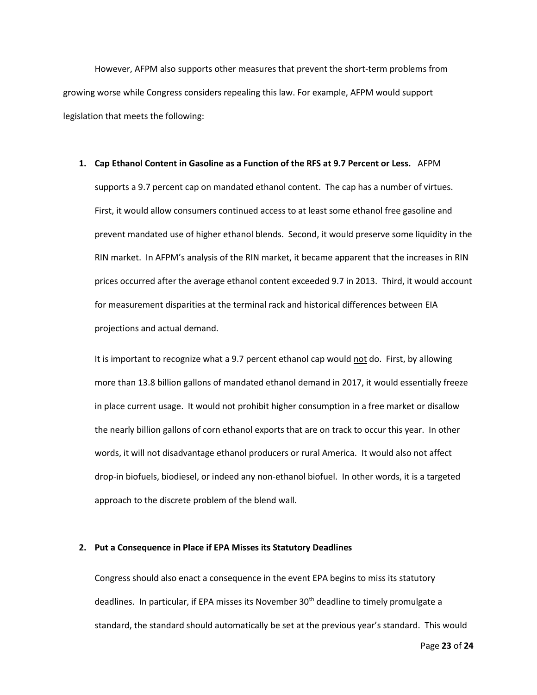However, AFPM also supports other measures that prevent the short-term problems from growing worse while Congress considers repealing this law. For example, AFPM would support legislation that meets the following:

#### **1. Cap Ethanol Content in Gasoline as a Function of the RFS at 9.7 Percent or Less.** AFPM

supports a 9.7 percent cap on mandated ethanol content. The cap has a number of virtues. First, it would allow consumers continued access to at least some ethanol free gasoline and prevent mandated use of higher ethanol blends. Second, it would preserve some liquidity in the RIN market. In AFPM's analysis of the RIN market, it became apparent that the increases in RIN prices occurred after the average ethanol content exceeded 9.7 in 2013. Third, it would account for measurement disparities at the terminal rack and historical differences between EIA projections and actual demand.

It is important to recognize what a 9.7 percent ethanol cap would not do. First, by allowing more than 13.8 billion gallons of mandated ethanol demand in 2017, it would essentially freeze in place current usage. It would not prohibit higher consumption in a free market or disallow the nearly billion gallons of corn ethanol exports that are on track to occur this year. In other words, it will not disadvantage ethanol producers or rural America. It would also not affect drop-in biofuels, biodiesel, or indeed any non-ethanol biofuel. In other words, it is a targeted approach to the discrete problem of the blend wall.

### **2. Put a Consequence in Place if EPA Misses its Statutory Deadlines**

Congress should also enact a consequence in the event EPA begins to miss its statutory deadlines. In particular, if EPA misses its November 30<sup>th</sup> deadline to timely promulgate a standard, the standard should automatically be set at the previous year's standard. This would